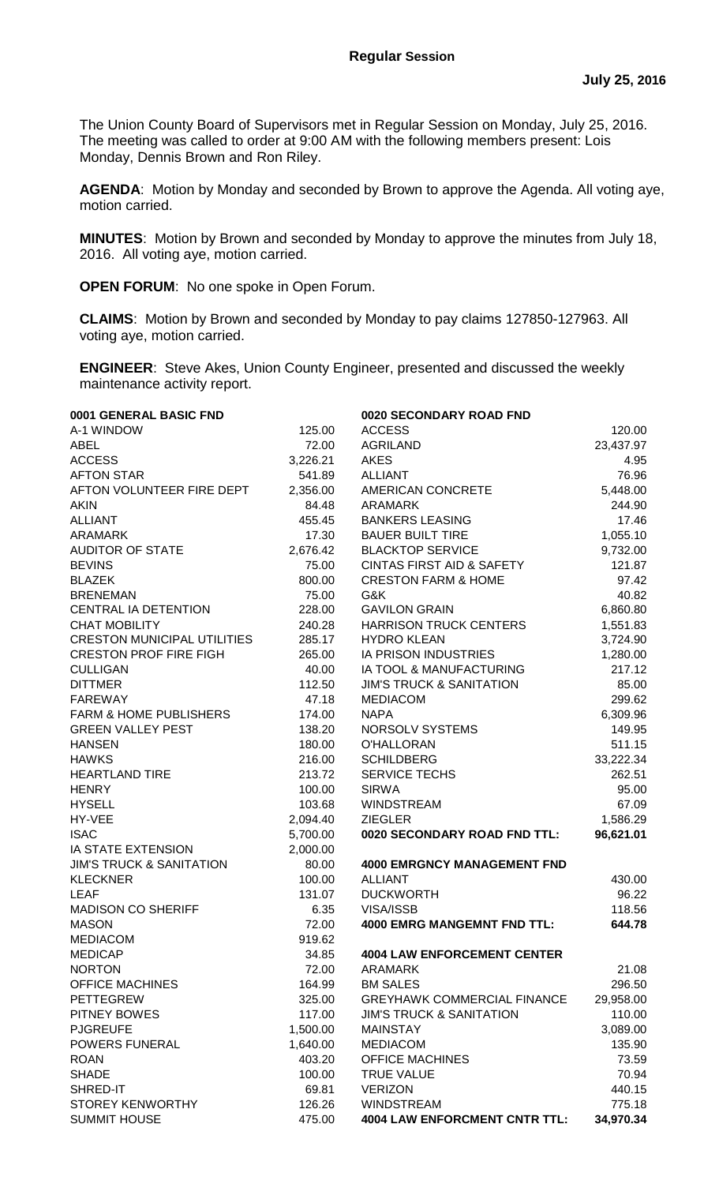The Union County Board of Supervisors met in Regular Session on Monday, July 25, 2016. The meeting was called to order at 9:00 AM with the following members present: Lois Monday, Dennis Brown and Ron Riley.

**AGENDA**: Motion by Monday and seconded by Brown to approve the Agenda. All voting aye, motion carried.

**MINUTES**: Motion by Brown and seconded by Monday to approve the minutes from July 18, 2016. All voting aye, motion carried.

**OPEN FORUM**: No one spoke in Open Forum.

**CLAIMS**:Motion by Brown and seconded by Monday to pay claims 127850-127963. All voting aye, motion carried.

**ENGINEER**: Steve Akes, Union County Engineer, presented and discussed the weekly maintenance activity report.

| 0001 GENERAL BASIC FND              |          | 0020 SECONDARY ROAD FND              |           |
|-------------------------------------|----------|--------------------------------------|-----------|
| A-1 WINDOW                          | 125.00   | <b>ACCESS</b>                        | 120.00    |
| <b>ABEL</b>                         | 72.00    | <b>AGRILAND</b>                      | 23,437.97 |
| <b>ACCESS</b>                       | 3,226.21 | <b>AKES</b>                          | 4.95      |
| <b>AFTON STAR</b>                   | 541.89   | <b>ALLIANT</b>                       | 76.96     |
| AFTON VOLUNTEER FIRE DEPT           | 2,356.00 | AMERICAN CONCRETE                    | 5,448.00  |
| <b>AKIN</b>                         | 84.48    | ARAMARK                              | 244.90    |
| <b>ALLIANT</b>                      | 455.45   | <b>BANKERS LEASING</b>               | 17.46     |
| <b>ARAMARK</b>                      | 17.30    | <b>BAUER BUILT TIRE</b>              | 1,055.10  |
| <b>AUDITOR OF STATE</b>             | 2,676.42 | <b>BLACKTOP SERVICE</b>              | 9,732.00  |
| <b>BEVINS</b>                       | 75.00    | <b>CINTAS FIRST AID &amp; SAFETY</b> | 121.87    |
| <b>BLAZEK</b>                       | 800.00   | <b>CRESTON FARM &amp; HOME</b>       | 97.42     |
| <b>BRENEMAN</b>                     | 75.00    | G&K                                  | 40.82     |
| CENTRAL IA DETENTION                | 228.00   | <b>GAVILON GRAIN</b>                 | 6,860.80  |
| <b>CHAT MOBILITY</b>                | 240.28   | <b>HARRISON TRUCK CENTERS</b>        | 1,551.83  |
| <b>CRESTON MUNICIPAL UTILITIES</b>  | 285.17   | <b>HYDRO KLEAN</b>                   | 3,724.90  |
| <b>CRESTON PROF FIRE FIGH</b>       | 265.00   | IA PRISON INDUSTRIES                 | 1,280.00  |
| <b>CULLIGAN</b>                     | 40.00    | IA TOOL & MANUFACTURING              | 217.12    |
| <b>DITTMER</b>                      | 112.50   | <b>JIM'S TRUCK &amp; SANITATION</b>  | 85.00     |
| <b>FAREWAY</b>                      | 47.18    | <b>MEDIACOM</b>                      | 299.62    |
| <b>FARM &amp; HOME PUBLISHERS</b>   | 174.00   | <b>NAPA</b>                          | 6,309.96  |
| <b>GREEN VALLEY PEST</b>            | 138.20   | <b>NORSOLV SYSTEMS</b>               | 149.95    |
| <b>HANSEN</b>                       | 180.00   | O'HALLORAN                           | 511.15    |
| <b>HAWKS</b>                        | 216.00   | <b>SCHILDBERG</b>                    | 33,222.34 |
| <b>HEARTLAND TIRE</b>               | 213.72   | <b>SERVICE TECHS</b>                 | 262.51    |
| <b>HENRY</b>                        | 100.00   | <b>SIRWA</b>                         | 95.00     |
| <b>HYSELL</b>                       | 103.68   | WINDSTREAM                           | 67.09     |
| HY-VEE                              | 2,094.40 | <b>ZIEGLER</b>                       | 1,586.29  |
| <b>ISAC</b>                         | 5,700.00 | 0020 SECONDARY ROAD FND TTL:         | 96,621.01 |
| <b>IA STATE EXTENSION</b>           | 2,000.00 |                                      |           |
| <b>JIM'S TRUCK &amp; SANITATION</b> | 80.00    | <b>4000 EMRGNCY MANAGEMENT FND</b>   |           |
| <b>KLECKNER</b>                     | 100.00   | <b>ALLIANT</b>                       | 430.00    |
| <b>LEAF</b>                         | 131.07   | <b>DUCKWORTH</b>                     | 96.22     |
| <b>MADISON CO SHERIFF</b>           | 6.35     | <b>VISA/ISSB</b>                     | 118.56    |
| <b>MASON</b>                        | 72.00    | <b>4000 EMRG MANGEMNT FND TTL:</b>   | 644.78    |
| <b>MEDIACOM</b>                     | 919.62   |                                      |           |
| <b>MEDICAP</b>                      | 34.85    | <b>4004 LAW ENFORCEMENT CENTER</b>   |           |
| <b>NORTON</b>                       | 72.00    | <b>ARAMARK</b>                       | 21.08     |
| <b>OFFICE MACHINES</b>              | 164.99   | <b>BM SALES</b>                      | 296.50    |
| <b>PETTEGREW</b>                    | 325.00   | <b>GREYHAWK COMMERCIAL FINANCE</b>   | 29,958.00 |
| PITNEY BOWES                        | 117.00   | <b>JIM'S TRUCK &amp; SANITATION</b>  | 110.00    |
| <b>PJGREUFE</b>                     | 1,500.00 | <b>MAINSTAY</b>                      | 3,089.00  |
| POWERS FUNERAL                      | 1,640.00 | <b>MEDIACOM</b>                      | 135.90    |
| <b>ROAN</b>                         | 403.20   | <b>OFFICE MACHINES</b>               | 73.59     |
| <b>SHADE</b>                        | 100.00   | <b>TRUE VALUE</b>                    | 70.94     |
| SHRED-IT                            | 69.81    | <b>VERIZON</b>                       | 440.15    |
| <b>STOREY KENWORTHY</b>             | 126.26   | <b>WINDSTREAM</b>                    | 775.18    |
| <b>SUMMIT HOUSE</b>                 | 475.00   | <b>4004 LAW ENFORCMENT CNTR TTL:</b> | 34,970.34 |